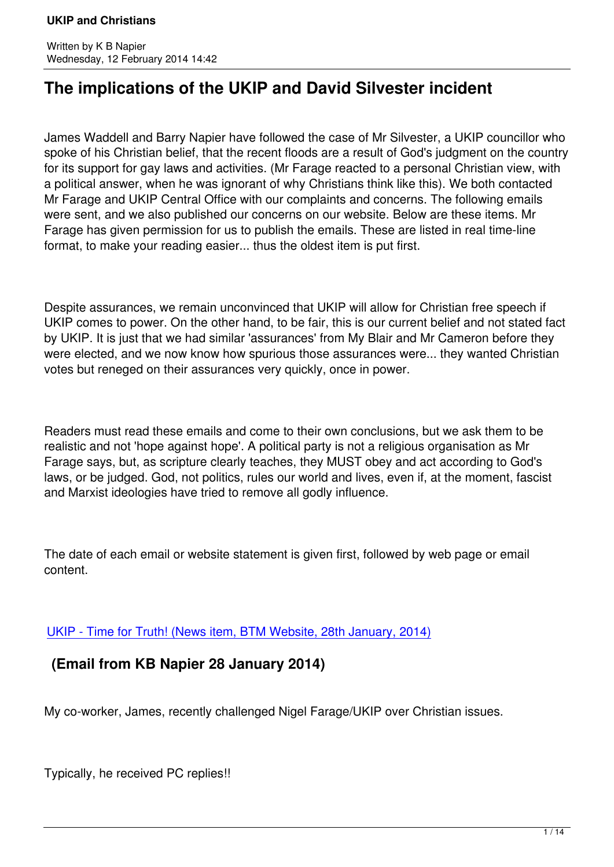# **The implications of the UKIP and David Silvester incident**

James Waddell and Barry Napier have followed the case of Mr Silvester, a UKIP councillor who spoke of his Christian belief, that the recent floods are a result of God's judgment on the country for its support for gay laws and activities. (Mr Farage reacted to a personal Christian view, with a political answer, when he was ignorant of why Christians think like this). We both contacted Mr Farage and UKIP Central Office with our complaints and concerns. The following emails were sent, and we also published our concerns on our website. Below are these items. Mr Farage has given permission for us to publish the emails. These are listed in real time-line format, to make your reading easier... thus the oldest item is put first.

Despite assurances, we remain unconvinced that UKIP will allow for Christian free speech if UKIP comes to power. On the other hand, to be fair, this is our current belief and not stated fact by UKIP. It is just that we had similar 'assurances' from My Blair and Mr Cameron before they were elected, and we now know how spurious those assurances were... they wanted Christian votes but reneged on their assurances very quickly, once in power.

Readers must read these emails and come to their own conclusions, but we ask them to be realistic and not 'hope against hope'. A political party is not a religious organisation as Mr Farage says, but, as scripture clearly teaches, they MUST obey and act according to God's laws, or be judged. God, not politics, rules our world and lives, even if, at the moment, fascist and Marxist ideologies have tried to remove all godly influence.

The date of each email or website statement is given first, followed by web page or email content.

UKIP - Time for Truth! (News item, BTM Website, 28th January, 2014)

## **(Email from KB Napier 28 January 2014)**

My co-worker, James, recently challenged Nigel Farage/UKIP over Christian issues.

Typically, he received PC replies!!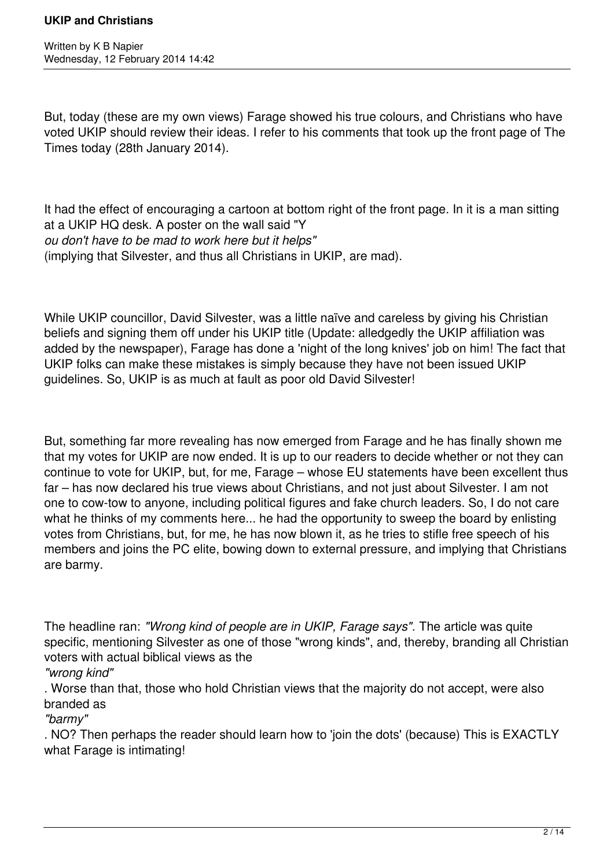Written by K B Napier Wednesday, 12 February 2014 14:42

But, today (these are my own views) Farage showed his true colours, and Christians who have voted UKIP should review their ideas. I refer to his comments that took up the front page of The Times today (28th January 2014).

It had the effect of encouraging a cartoon at bottom right of the front page. In it is a man sitting at a UKIP HQ desk. A poster on the wall said "Y *ou don't have to be mad to work here but it helps"* (implying that Silvester, and thus all Christians in UKIP, are mad).

While UKIP councillor, David Silvester, was a little naïve and careless by giving his Christian beliefs and signing them off under his UKIP title (Update: alledgedly the UKIP affiliation was added by the newspaper), Farage has done a 'night of the long knives' job on him! The fact that UKIP folks can make these mistakes is simply because they have not been issued UKIP guidelines. So, UKIP is as much at fault as poor old David Silvester!

But, something far more revealing has now emerged from Farage and he has finally shown me that my votes for UKIP are now ended. It is up to our readers to decide whether or not they can continue to vote for UKIP, but, for me, Farage – whose EU statements have been excellent thus far – has now declared his true views about Christians, and not just about Silvester. I am not one to cow-tow to anyone, including political figures and fake church leaders. So, I do not care what he thinks of my comments here... he had the opportunity to sweep the board by enlisting votes from Christians, but, for me, he has now blown it, as he tries to stifle free speech of his members and joins the PC elite, bowing down to external pressure, and implying that Christians are barmy.

The headline ran: *"Wrong kind of people are in UKIP, Farage says".* The article was quite specific, mentioning Silvester as one of those "wrong kinds", and, thereby, branding all Christian voters with actual biblical views as the

*"wrong kind"*

. Worse than that, those who hold Christian views that the majority do not accept, were also branded as

*"barmy"*

. NO? Then perhaps the reader should learn how to 'join the dots' (because) This is EXACTLY what Farage is intimating!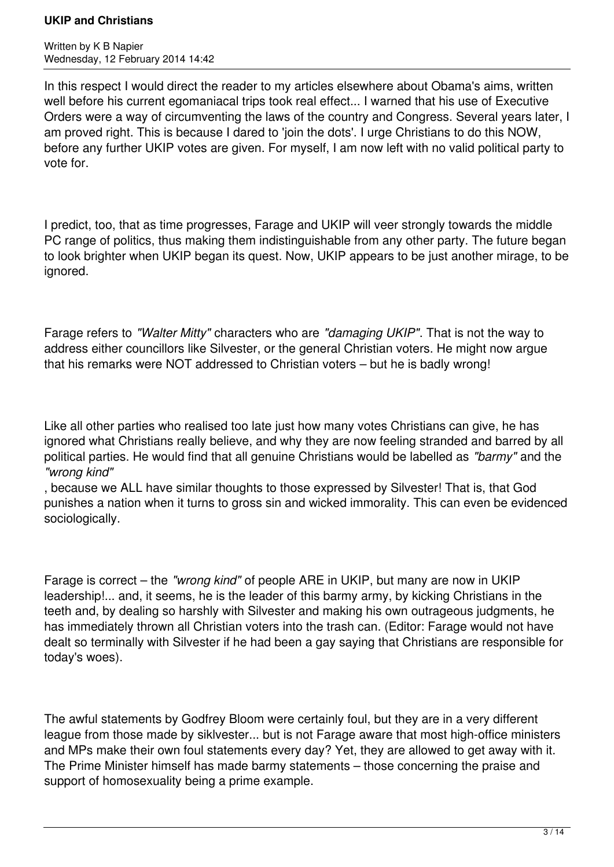Written by K B Napier Wednesday, 12 February 2014 14:42

In this respect I would direct the reader to my articles elsewhere about Obama's aims, written well before his current egomaniacal trips took real effect... I warned that his use of Executive Orders were a way of circumventing the laws of the country and Congress. Several years later, I am proved right. This is because I dared to 'join the dots'. I urge Christians to do this NOW, before any further UKIP votes are given. For myself, I am now left with no valid political party to vote for.

I predict, too, that as time progresses, Farage and UKIP will veer strongly towards the middle PC range of politics, thus making them indistinguishable from any other party. The future began to look brighter when UKIP began its quest. Now, UKIP appears to be just another mirage, to be ignored.

Farage refers to *"Walter Mitty"* characters who are *"damaging UKIP"*. That is not the way to address either councillors like Silvester, or the general Christian voters. He might now argue that his remarks were NOT addressed to Christian voters – but he is badly wrong!

Like all other parties who realised too late just how many votes Christians can give, he has ignored what Christians really believe, and why they are now feeling stranded and barred by all political parties. He would find that all genuine Christians would be labelled as *"barmy"* and the *"wrong kind"*

, because we ALL have similar thoughts to those expressed by Silvester! That is, that God punishes a nation when it turns to gross sin and wicked immorality. This can even be evidenced sociologically.

Farage is correct – the *"wrong kind"* of people ARE in UKIP, but many are now in UKIP leadership!... and, it seems, he is the leader of this barmy army, by kicking Christians in the teeth and, by dealing so harshly with Silvester and making his own outrageous judgments, he has immediately thrown all Christian voters into the trash can. (Editor: Farage would not have dealt so terminally with Silvester if he had been a gay saying that Christians are responsible for today's woes).

The awful statements by Godfrey Bloom were certainly foul, but they are in a very different league from those made by siklvester... but is not Farage aware that most high-office ministers and MPs make their own foul statements every day? Yet, they are allowed to get away with it. The Prime Minister himself has made barmy statements – those concerning the praise and support of homosexuality being a prime example.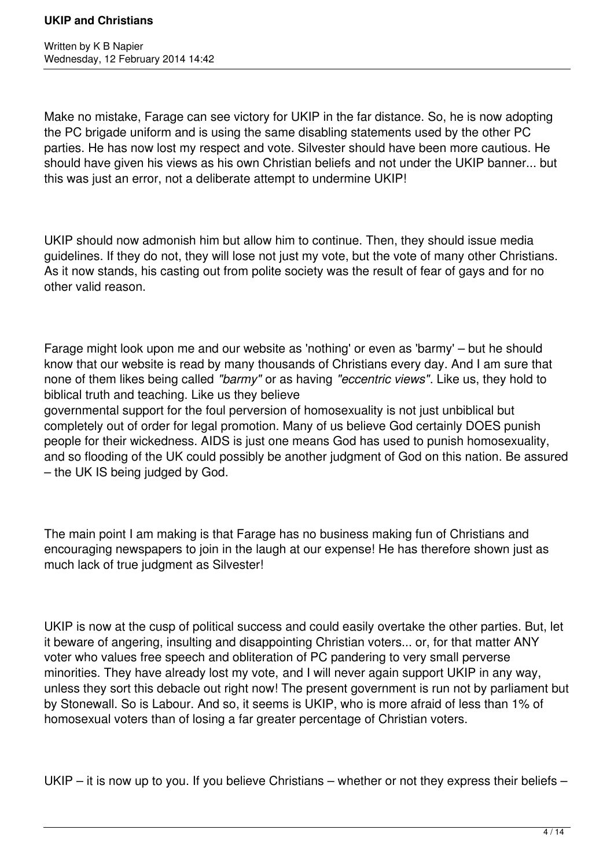Make no mistake, Farage can see victory for UKIP in the far distance. So, he is now adopting the PC brigade uniform and is using the same disabling statements used by the other PC parties. He has now lost my respect and vote. Silvester should have been more cautious. He should have given his views as his own Christian beliefs and not under the UKIP banner... but this was just an error, not a deliberate attempt to undermine UKIP!

UKIP should now admonish him but allow him to continue. Then, they should issue media guidelines. If they do not, they will lose not just my vote, but the vote of many other Christians. As it now stands, his casting out from polite society was the result of fear of gays and for no other valid reason.

Farage might look upon me and our website as 'nothing' or even as 'barmy' – but he should know that our website is read by many thousands of Christians every day. And I am sure that none of them likes being called *"barmy"* or as having *"eccentric views"*. Like us, they hold to biblical truth and teaching. Like us they believe

governmental support for the foul perversion of homosexuality is not just unbiblical but completely out of order for legal promotion. Many of us believe God certainly DOES punish people for their wickedness. AIDS is just one means God has used to punish homosexuality, and so flooding of the UK could possibly be another judgment of God on this nation. Be assured – the UK IS being judged by God.

The main point I am making is that Farage has no business making fun of Christians and encouraging newspapers to join in the laugh at our expense! He has therefore shown just as much lack of true judgment as Silvester!

UKIP is now at the cusp of political success and could easily overtake the other parties. But, let it beware of angering, insulting and disappointing Christian voters... or, for that matter ANY voter who values free speech and obliteration of PC pandering to very small perverse minorities. They have already lost my vote, and I will never again support UKIP in any way, unless they sort this debacle out right now! The present government is run not by parliament but by Stonewall. So is Labour. And so, it seems is UKIP, who is more afraid of less than 1% of homosexual voters than of losing a far greater percentage of Christian voters.

UKIP – it is now up to you. If you believe Christians – whether or not they express their beliefs –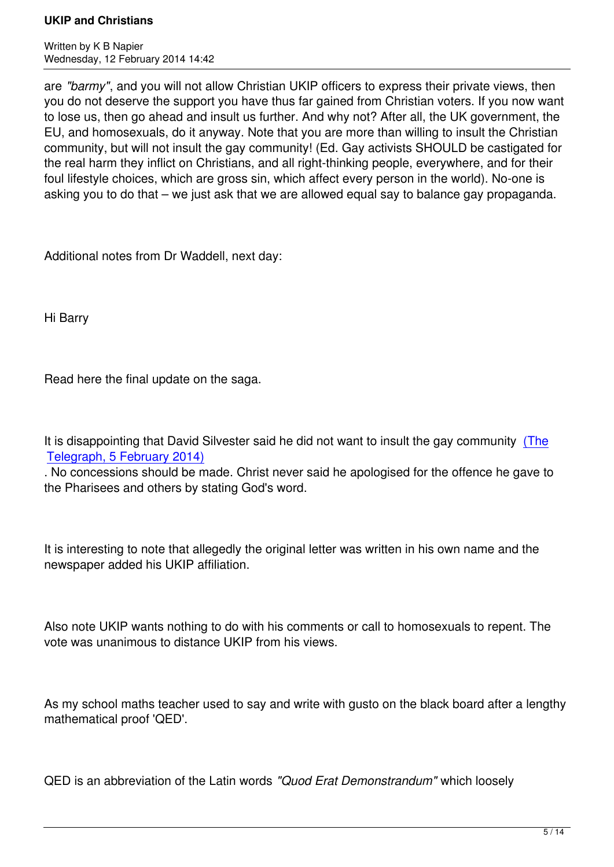Written by K B Napier by K B Napier by K B Napier by K Napier by K Napier by K Napier by K Napier by K Napier Wednesday, 12 February 2014 14:42

are *"barmy"*, and you will not allow Christian UKIP officers to express their private views, then you do not deserve the support you have thus far gained from Christian voters. If you now want to lose us, then go ahead and insult us further. And why not? After all, the UK government, the EU, and homosexuals, do it anyway. Note that you are more than willing to insult the Christian community, but will not insult the gay community! (Ed. Gay activists SHOULD be castigated for the real harm they inflict on Christians, and all right-thinking people, everywhere, and for their foul lifestyle choices, which are gross sin, which affect every person in the world). No-one is asking you to do that – we just ask that we are allowed equal say to balance gay propaganda.

Additional notes from Dr Waddell, next day:

Hi Barry

Read here the final update on the saga.

It is disappointing that David Silvester said he did not want to insult the gay community (The Telegraph, 5 February 2014)

. No concessions should be made. Christ never said he apologised for the offence he gave to the Pharisees and others by stating God's word.

It is interesting to note that allegedly the original letter was written in his own name and the newspaper added his UKIP affiliation.

Also note UKIP wants nothing to do with his comments or call to homosexuals to repent. The vote was unanimous to distance UKIP from his views.

As my school maths teacher used to say and write with gusto on the black board after a lengthy mathematical proof 'QED'.

QED is an abbreviation of the Latin words *"Quod Erat Demonstrandum"* which loosely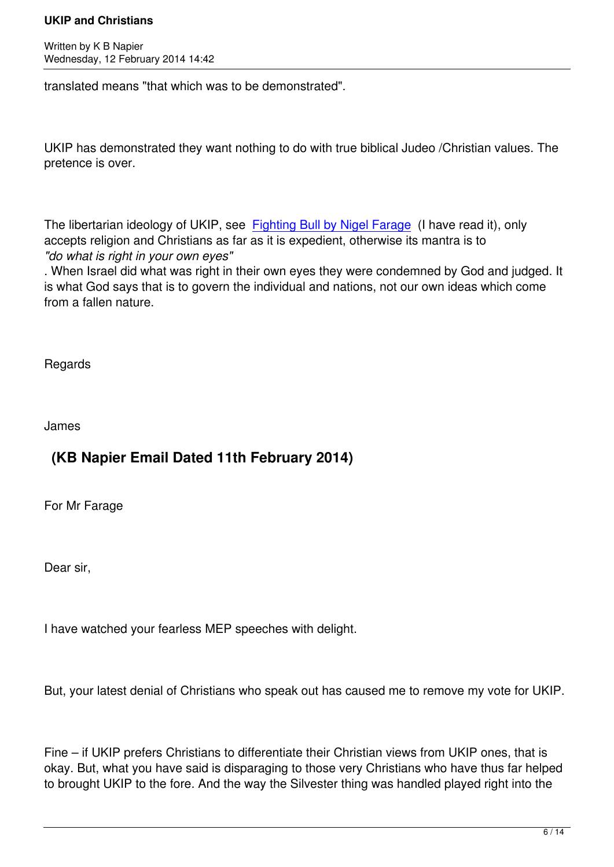translated means "that which was to be demonstrated".

UKIP has demonstrated they want nothing to do with true biblical Judeo /Christian values. The pretence is over.

The libertarian ideology of UKIP, see Fighting Bull by Nigel Farage (I have read it), only accepts religion and Christians as far as it is expedient, otherwise its mantra is to *"do what is right in your own eyes"*

. When Israel did what was right in th[eir own eyes they were condem](http://www.amazon.co.uk/Fighting-Bull-Nigel-Farage/dp/184954039X/ref=sr_1_1?ie=UTF8&qid=1392221238&sr=8-1&keywords=fighting+bull)ned by God and judged. It is what God says that is to govern the individual and nations, not our own ideas which come from a fallen nature.

**Regards** 

James

## **(KB Napier Email Dated 11th February 2014)**

For Mr Farage

Dear sir,

I have watched your fearless MEP speeches with delight.

But, your latest denial of Christians who speak out has caused me to remove my vote for UKIP.

Fine – if UKIP prefers Christians to differentiate their Christian views from UKIP ones, that is okay. But, what you have said is disparaging to those very Christians who have thus far helped to brought UKIP to the fore. And the way the Silvester thing was handled played right into the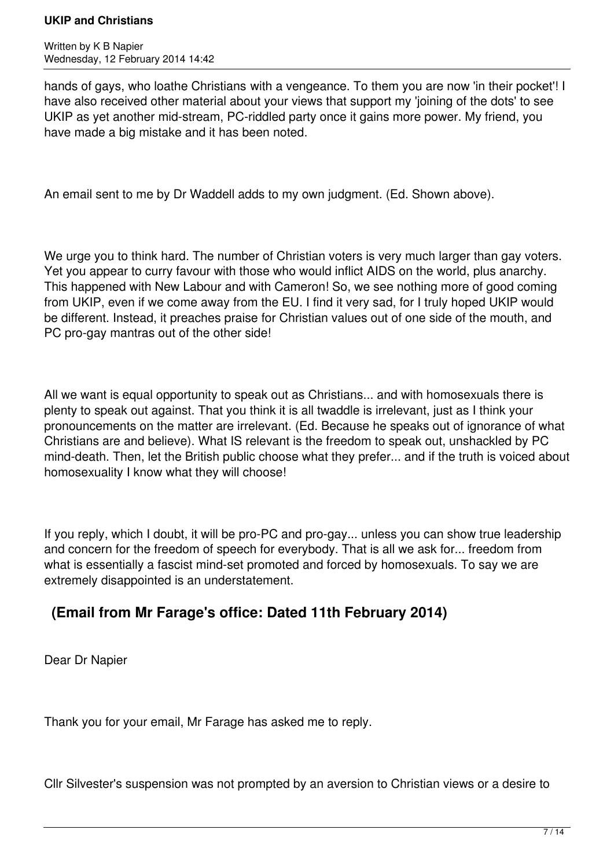Written by K B Napier Wednesday, 12 February 2014 14:42

hands of gays, who loathe Christians with a vengeance. To them you are now 'in their pocket'! I have also received other material about your views that support my 'joining of the dots' to see UKIP as yet another mid-stream, PC-riddled party once it gains more power. My friend, you have made a big mistake and it has been noted.

An email sent to me by Dr Waddell adds to my own judgment. (Ed. Shown above).

We urge you to think hard. The number of Christian voters is very much larger than gay voters. Yet you appear to curry favour with those who would inflict AIDS on the world, plus anarchy. This happened with New Labour and with Cameron! So, we see nothing more of good coming from UKIP, even if we come away from the EU. I find it very sad, for I truly hoped UKIP would be different. Instead, it preaches praise for Christian values out of one side of the mouth, and PC pro-gay mantras out of the other side!

All we want is equal opportunity to speak out as Christians... and with homosexuals there is plenty to speak out against. That you think it is all twaddle is irrelevant, just as I think your pronouncements on the matter are irrelevant. (Ed. Because he speaks out of ignorance of what Christians are and believe). What IS relevant is the freedom to speak out, unshackled by PC mind-death. Then, let the British public choose what they prefer... and if the truth is voiced about homosexuality I know what they will choose!

If you reply, which I doubt, it will be pro-PC and pro-gay... unless you can show true leadership and concern for the freedom of speech for everybody. That is all we ask for... freedom from what is essentially a fascist mind-set promoted and forced by homosexuals. To say we are extremely disappointed is an understatement.

## **(Email from Mr Farage's office: Dated 11th February 2014)**

Dear Dr Napier

Thank you for your email, Mr Farage has asked me to reply.

Cllr Silvester's suspension was not prompted by an aversion to Christian views or a desire to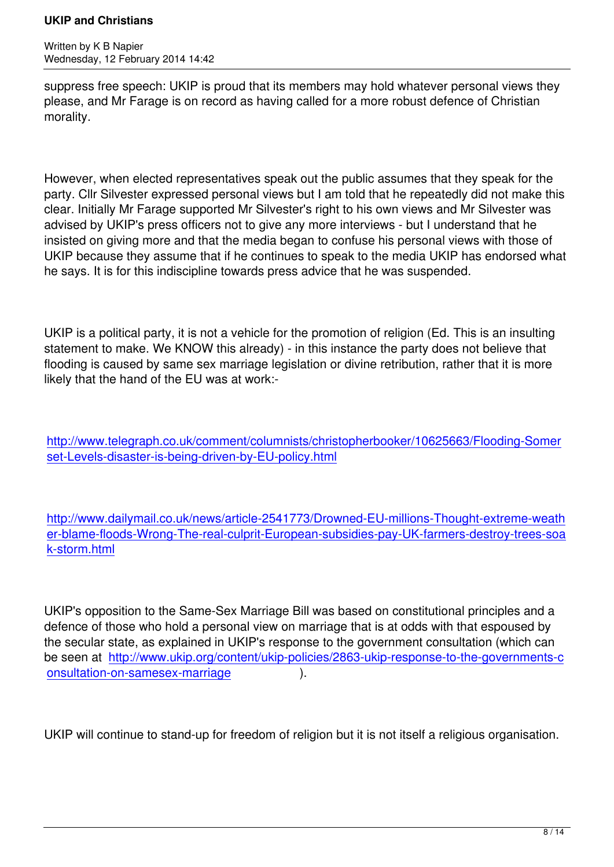Written by K B Napier by K B Napier by K B Napier by K Napier by K Napier by K Napier by K Napier by K Napier

suppress free speech: UKIP is proud that its members may hold whatever personal views they please, and Mr Farage is on record as having called for a more robust defence of Christian morality.

However, when elected representatives speak out the public assumes that they speak for the party. Cllr Silvester expressed personal views but I am told that he repeatedly did not make this clear. Initially Mr Farage supported Mr Silvester's right to his own views and Mr Silvester was advised by UKIP's press officers not to give any more interviews - but I understand that he insisted on giving more and that the media began to confuse his personal views with those of UKIP because they assume that if he continues to speak to the media UKIP has endorsed what he says. It is for this indiscipline towards press advice that he was suspended.

UKIP is a political party, it is not a vehicle for the promotion of religion (Ed. This is an insulting statement to make. We KNOW this already) - in this instance the party does not believe that flooding is caused by same sex marriage legislation or divine retribution, rather that it is more likely that the hand of the EU was at work:-

http://www.telegraph.co.uk/comment/columnists/christopherbooker/10625663/Flooding-Somer set-Levels-disaster-is-being-driven-by-EU-policy.html

[http://www.dailymail.co.uk/news/article-2541773/Drow](http://www.telegraph.co.uk/comment/columnists/christopherbooker/10625663/Flooding-Somerset-Levels-disaster-is-being-driven-by-EU-policy.html)ned-EU-millions-Thought-extreme-weath er-blame-floods-Wrong-The-real-culprit-European-subsidies-pay-UK-farmers-destroy-trees-soa k-storm.html

[UKIP's oppos](http://www.dailymail.co.uk/news/article-2541773/Drowned-EU-millions-Thought-extreme-weather-blame-floods-Wrong-The-real-culprit-European-subsidies-pay-UK-farmers-destroy-trees-soak-storm.html)ition to the Same-Sex Marriage Bill was based on constitutional principles and a defence of those who hold a personal view on marriage that is at odds with that espoused by the secular state, as explained in UKIP's response to the government consultation (which can be seen at http://www.ukip.org/content/ukip-policies/2863-ukip-response-to-the-governments-c onsultation-on-samesex-marriage ).

[UKIP will continue to stand-up for f](http://www.ukip.org/content/ukip-policies/2863-ukip-response-to-the-governments-consultation-on-samesex-marriage)reedom of religion but it is not itself a religious organisation.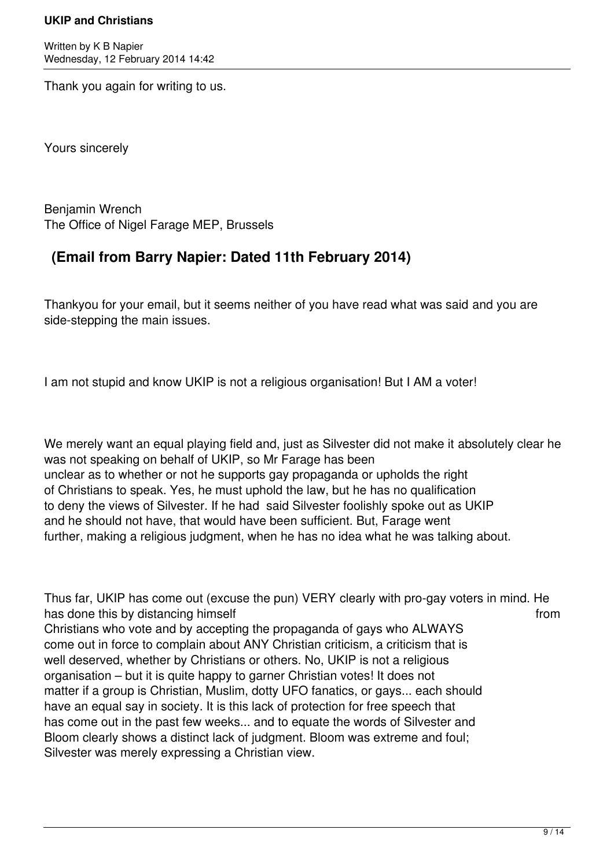Written by K B Napier Wednesday, 12 February 2014 14:42

Thank you again for writing to us.

Yours sincerely

Benjamin Wrench The Office of Nigel Farage MEP, Brussels

## **(Email from Barry Napier: Dated 11th February 2014)**

Thankyou for your email, but it seems neither of you have read what was said and you are side-stepping the main issues.

I am not stupid and know UKIP is not a religious organisation! But I AM a voter!

We merely want an equal playing field and, just as Silvester did not make it absolutely clear he was not speaking on behalf of UKIP, so Mr Farage has been unclear as to whether or not he supports gay propaganda or upholds the right of Christians to speak. Yes, he must uphold the law, but he has no qualification to deny the views of Silvester. If he had said Silvester foolishly spoke out as UKIP and he should not have, that would have been sufficient. But, Farage went further, making a religious judgment, when he has no idea what he was talking about.

Thus far, UKIP has come out (excuse the pun) VERY clearly with pro-gay voters in mind. He has done this by distancing himself **from** the state of the state of the state of the state of the state of the state of the state of the state of the state of the state of the state of the state of the state of the state Christians who vote and by accepting the propaganda of gays who ALWAYS come out in force to complain about ANY Christian criticism, a criticism that is well deserved, whether by Christians or others. No, UKIP is not a religious organisation – but it is quite happy to garner Christian votes! It does not matter if a group is Christian, Muslim, dotty UFO fanatics, or gays... each should have an equal say in society. It is this lack of protection for free speech that has come out in the past few weeks... and to equate the words of Silvester and Bloom clearly shows a distinct lack of judgment. Bloom was extreme and foul; Silvester was merely expressing a Christian view.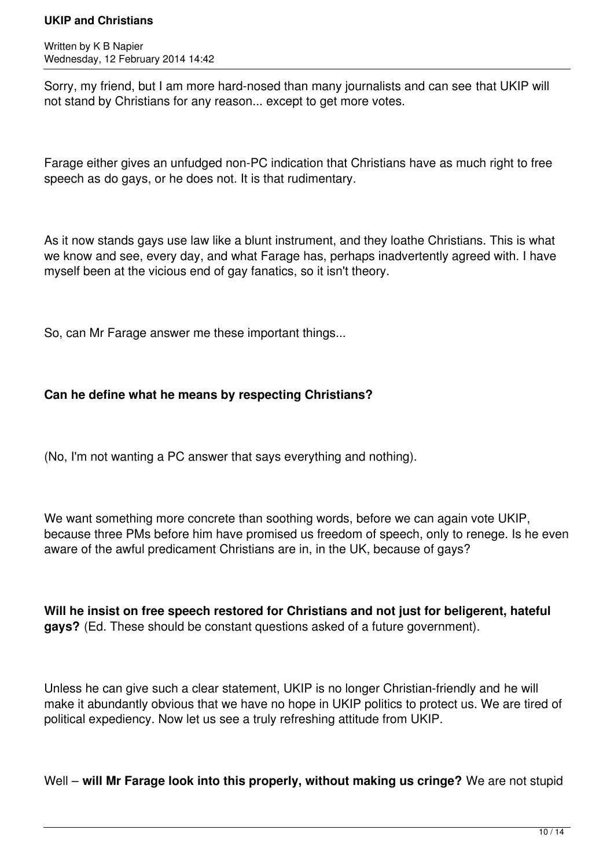Written by K B Napier Wednesday, 12 February 2014 14:42

Sorry, my friend, but I am more hard-nosed than many journalists and can see that UKIP will not stand by Christians for any reason... except to get more votes.

Farage either gives an unfudged non-PC indication that Christians have as much right to free speech as do gays, or he does not. It is that rudimentary.

As it now stands gays use law like a blunt instrument, and they loathe Christians. This is what we know and see, every day, and what Farage has, perhaps inadvertently agreed with. I have myself been at the vicious end of gay fanatics, so it isn't theory.

So, can Mr Farage answer me these important things...

### **Can he define what he means by respecting Christians?**

(No, I'm not wanting a PC answer that says everything and nothing).

We want something more concrete than soothing words, before we can again vote UKIP, because three PMs before him have promised us freedom of speech, only to renege. Is he even aware of the awful predicament Christians are in, in the UK, because of gays?

**Will he insist on free speech restored for Christians and not just for beligerent, hateful gays?** (Ed. These should be constant questions asked of a future government).

Unless he can give such a clear statement, UKIP is no longer Christian-friendly and he will make it abundantly obvious that we have no hope in UKIP politics to protect us. We are tired of political expediency. Now let us see a truly refreshing attitude from UKIP.

Well – **will Mr Farage look into this properly, without making us cringe?** We are not stupid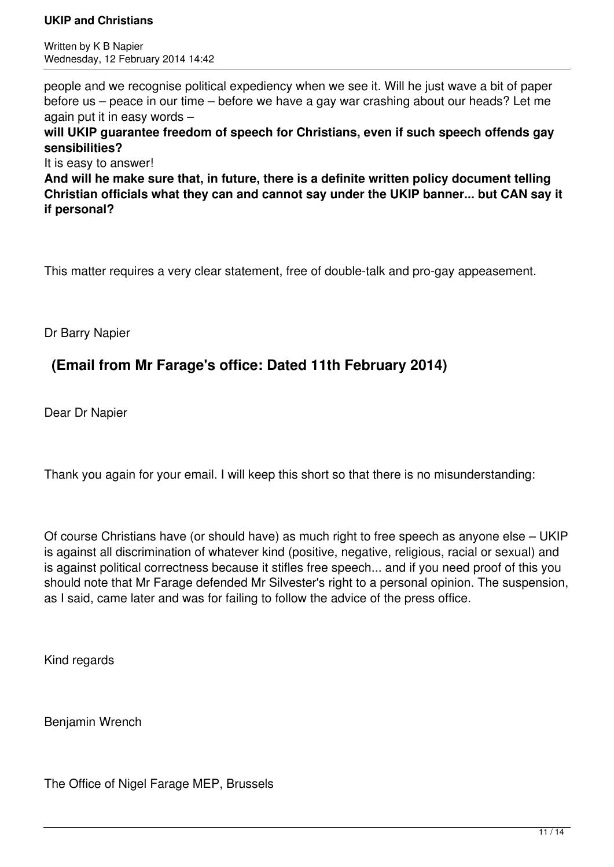Written by K B Napier Wednesday, 12 February 2014 14:42

people and we recognise political expediency when we see it. Will he just wave a bit of paper before us – peace in our time – before we have a gay war crashing about our heads? Let me again put it in easy words –

**will UKIP guarantee freedom of speech for Christians, even if such speech offends gay sensibilities?**

It is easy to answer!

**And will he make sure that, in future, there is a definite written policy document telling Christian officials what they can and cannot say under the UKIP banner... but CAN say it if personal?**

This matter requires a very clear statement, free of double-talk and pro-gay appeasement.

Dr Barry Napier

## **(Email from Mr Farage's office: Dated 11th February 2014)**

Dear Dr Napier

Thank you again for your email. I will keep this short so that there is no misunderstanding:

Of course Christians have (or should have) as much right to free speech as anyone else – UKIP is against all discrimination of whatever kind (positive, negative, religious, racial or sexual) and is against political correctness because it stifles free speech... and if you need proof of this you should note that Mr Farage defended Mr Silvester's right to a personal opinion. The suspension, as I said, came later and was for failing to follow the advice of the press office.

Kind regards

Benjamin Wrench

The Office of Nigel Farage MEP, Brussels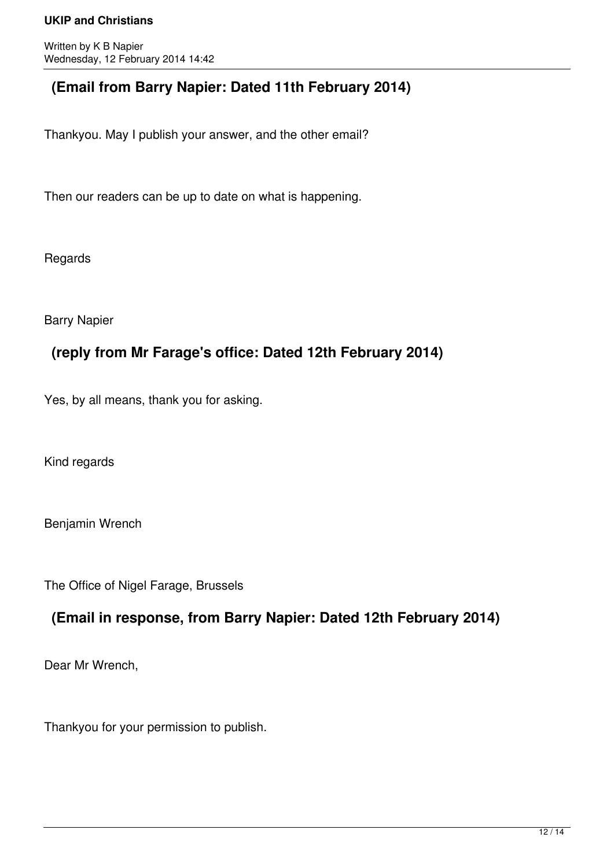Written by K B Napier Wednesday, 12 February 2014 14:42

## **(Email from Barry Napier: Dated 11th February 2014)**

Thankyou. May I publish your answer, and the other email?

Then our readers can be up to date on what is happening.

Regards

Barry Napier

## **(reply from Mr Farage's office: Dated 12th February 2014)**

Yes, by all means, thank you for asking.

Kind regards

Benjamin Wrench

The Office of Nigel Farage, Brussels

## **(Email in response, from Barry Napier: Dated 12th February 2014)**

Dear Mr Wrench,

Thankyou for your permission to publish.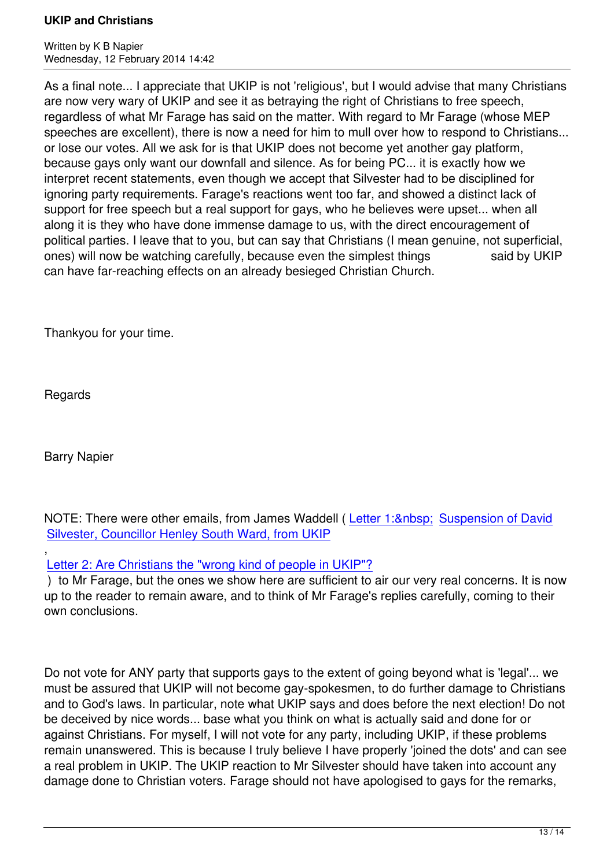As a final note... I appreciate that UKIP is not 'religious', but I would advise that many Christians are now very wary of UKIP and see it as betraying the right of Christians to free speech, regardless of what Mr Farage has said on the matter. With regard to Mr Farage (whose MEP speeches are excellent), there is now a need for him to mull over how to respond to Christians... or lose our votes. All we ask for is that UKIP does not become yet another gay platform, because gays only want our downfall and silence. As for being PC... it is exactly how we interpret recent statements, even though we accept that Silvester had to be disciplined for ignoring party requirements. Farage's reactions went too far, and showed a distinct lack of support for free speech but a real support for gays, who he believes were upset... when all along it is they who have done immense damage to us, with the direct encouragement of political parties. I leave that to you, but can say that Christians (I mean genuine, not superficial, ones) will now be watching carefully, because even the simplest things said by UKIP can have far-reaching effects on an already besieged Christian Church.

Thankyou for your time.

Regards

Barry Napier

NOTE: There were other emails, from James Waddell (Letter 1: Suspension of David Silvester, Councillor Henley South Ward, from UKIP

, Letter 2: Are Christians the "wrong kind of people in U[KIP"?](index.php?option=com_content&view=article&id=1085:suspension-of-david-silvester-councillor-henley-south-ward-from-ukip&catid=104:politics&Itemid=637)

 [\) to Mr Farage, but the ones we show here are suffi](index.php?option=com_content&view=article&id=1085:suspension-of-david-silvester-councillor-henley-south-ward-from-ukip&catid=104:politics&Itemid=637)cient to air our very [real concerns. It is no](index.php?option=com_content&view=article&id=1085:suspension-of-david-silvester-councillor-henley-south-ward-from-ukip&catid=104:politics&Itemid=637)w up to the reader to remain aware, and to think of Mr Farage's replies carefully, coming to their [own conclusions.](index.php?option=com_content&view=article&id=1088:are-christians-the-wrong-kind-of-people-in-ukip&catid=104:politics&Itemid=637)

Do not vote for ANY party that supports gays to the extent of going beyond what is 'legal'... we must be assured that UKIP will not become gay-spokesmen, to do further damage to Christians and to God's laws. In particular, note what UKIP says and does before the next election! Do not be deceived by nice words... base what you think on what is actually said and done for or against Christians. For myself, I will not vote for any party, including UKIP, if these problems remain unanswered. This is because I truly believe I have properly 'joined the dots' and can see a real problem in UKIP. The UKIP reaction to Mr Silvester should have taken into account any damage done to Christian voters. Farage should not have apologised to gays for the remarks,